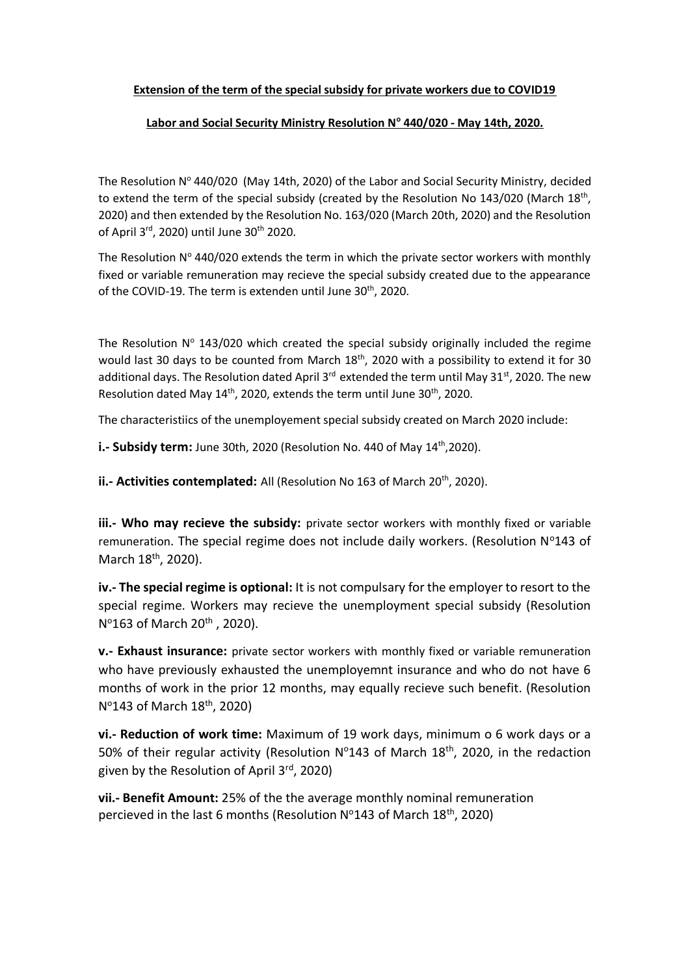## **Extension of the term of the special subsidy for private workers due to COVID19**

## **Labor and Social Security Ministry Resolution N<sup>o</sup> 440/020 - May 14th, 2020.**

The Resolution  $N^{\circ}$  440/020 (May 14th, 2020) of the Labor and Social Security Ministry, decided to extend the term of the special subsidy (created by the Resolution No 143/020 (March 18<sup>th</sup>, 2020) and then extended by the Resolution No. 163/020 (March 20th, 2020) and the Resolution of April 3<sup>rd</sup>, 2020) until June 30<sup>th</sup> 2020.

The Resolution  $N^{\circ}$  440/020 extends the term in which the private sector workers with monthly fixed or variable remuneration may recieve the special subsidy created due to the appearance of the COVID-19. The term is extenden until June 30<sup>th</sup>, 2020.

The Resolution  $N^{\circ}$  143/020 which created the special subsidy originally included the regime would last 30 days to be counted from March 18<sup>th</sup>, 2020 with a possibility to extend it for 30 additional days. The Resolution dated April 3<sup>rd</sup> extended the term until May 31<sup>st</sup>, 2020. The new Resolution dated May 14<sup>th</sup>, 2020, extends the term until June 30<sup>th</sup>, 2020.

The characteristiics of the unemployement special subsidy created on March 2020 include:

**i.- Subsidy term:** June 30th, 2020 (Resolution No. 440 of May 14<sup>th</sup>,2020).

**ii.- Activities contemplated:** All (Resolution No 163 of March 20<sup>th</sup>, 2020).

**iii.- Who may recieve the subsidy:** private sector workers with monthly fixed or variable remuneration. The special regime does not include daily workers. (Resolution  $N^{\circ}143$  of March 18<sup>th</sup>, 2020).

**iv.- The special regime is optional:** It is not compulsary for the employer to resort to the special regime. Workers may recieve the unemployment special subsidy (Resolution Nº163 of March 20<sup>th</sup>, 2020).

**v.- Exhaust insurance:** private sector workers with monthly fixed or variable remuneration who have previously exhausted the unemployemnt insurance and who do not have 6 months of work in the prior 12 months, may equally recieve such benefit. (Resolution Nº143 of March 18<sup>th</sup>, 2020)

**vi.- Reduction of work time:** Maximum of 19 work days, minimum o 6 work days or a 50% of their regular activity (Resolution  $N^{\circ}$ 143 of March 18<sup>th</sup>, 2020, in the redaction given by the Resolution of April 3rd, 2020)

**vii.- Benefit Amount:** 25% of the the average monthly nominal remuneration percieved in the last 6 months (Resolution  $N^{\circ}143$  of March 18<sup>th</sup>, 2020)